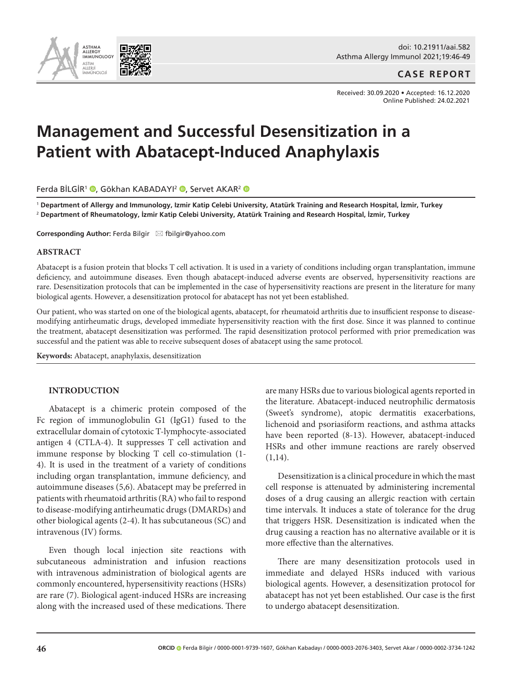

doi: 10.21911/aai.582 Asthma Allergy Immunol 2021;19:46-49

## **CASE REPORT**

Received: 30.09.2020 • Accepted: 16.12.2020 Online Published: 24.02.2021

# **Management and Successful Desensitization in a Patient with Abatacept-Induced Anaphylaxis**

Ferda BİLGİR<sup>1</sup> (D[,](https://orcid.org/0000-0003-2076-3403) Gökhan KABADAYI<sup>2</sup> (D, Servet AKAR<sup>2</sup> (D

<sup>1</sup> **Department of Allergy and Immunology, Izmir Katip Celebi University, Atatürk Training and Research Hospital, İzmir, Turkey** 2  **Department of Rheumatology, İzmir Katip Celebi University, Atatürk Training and Research Hospital, İzmir, Turkey**

**Corresponding Author: Ferda Bilgir ⊠ fbilgir@yahoo.com** 

#### **ABSTRACT**

Abatacept is a fusion protein that blocks T cell activation. It is used in a variety of conditions including organ transplantation, immune deficiency, and autoimmune diseases. Even though abatacept-induced adverse events are observed, hypersensitivity reactions are rare. Desensitization protocols that can be implemented in the case of hypersensitivity reactions are present in the literature for many biological agents. However, a desensitization protocol for abatacept has not yet been established.

Our patient, who was started on one of the biological agents, abatacept, for rheumatoid arthritis due to insufficient response to diseasemodifying antirheumatic drugs, developed immediate hypersensitivity reaction with the first dose. Since it was planned to continue the treatment, abatacept desensitization was performed. The rapid desensitization protocol performed with prior premedication was successful and the patient was able to receive subsequent doses of abatacept using the same protocol.

**Keywords:** Abatacept, anaphylaxis, desensitization

## **INTRODUCTION**

Abatacept is a chimeric protein composed of the Fc region of immunoglobulin G1 (IgG1) fused to the extracellular domain of cytotoxic T-lymphocyte-associated antigen 4 (CTLA-4). It suppresses T cell activation and immune response by blocking T cell co-stimulation (1- 4). It is used in the treatment of a variety of conditions including organ transplantation, immune deficiency, and autoimmune diseases (5,6). Abatacept may be preferred in patients with rheumatoid arthritis (RA) who fail to respond to disease-modifying antirheumatic drugs (DMARDs) and other biological agents (2-4). It has subcutaneous (SC) and intravenous (IV) forms.

Even though local injection site reactions with subcutaneous administration and infusion reactions with intravenous administration of biological agents are commonly encountered, hypersensitivity reactions (HSRs) are rare (7). Biological agent-induced HSRs are increasing along with the increased used of these medications. There are many HSRs due to various biological agents reported in the literature. Abatacept-induced neutrophilic dermatosis (Sweet's syndrome), atopic dermatitis exacerbations, lichenoid and psoriasiform reactions, and asthma attacks have been reported (8-13). However, abatacept-induced HSRs and other immune reactions are rarely observed  $(1,14)$ .

Desensitization is a clinical procedure in which the mast cell response is attenuated by administering incremental doses of a drug causing an allergic reaction with certain time intervals. It induces a state of tolerance for the drug that triggers HSR. Desensitization is indicated when the drug causing a reaction has no alternative available or it is more effective than the alternatives.

There are many desensitization protocols used in immediate and delayed HSRs induced with various biological agents. However, a desensitization protocol for abatacept has not yet been established. Our case is the first to undergo abatacept desensitization.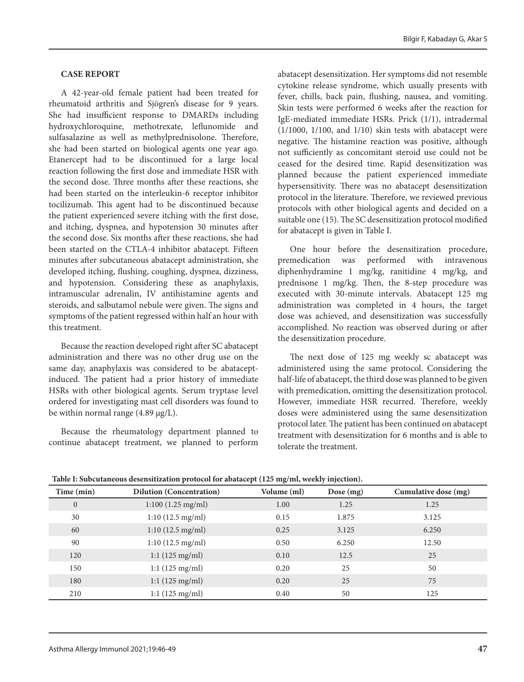#### **CASE REPORT**

A 42-year-old female patient had been treated for rheumatoid arthritis and Sjögren's disease for 9 years. She had insufficient response to DMARDs including hydroxychloroquine, methotrexate, leflunomide and sulfasalazine as well as methylprednisolone. Therefore, she had been started on biological agents one year ago. Etanercept had to be discontinued for a large local reaction following the first dose and immediate HSR with the second dose. Three months after these reactions, she had been started on the interleukin-6 receptor inhibitor tocilizumab. This agent had to be discontinued because the patient experienced severe itching with the first dose, and itching, dyspnea, and hypotension 30 minutes after the second dose. Six months after these reactions, she had been started on the CTLA-4 inhibitor abatacept. Fifteen minutes after subcutaneous abatacept administration, she developed itching, flushing, coughing, dyspnea, dizziness, and hypotension. Considering these as anaphylaxis, intramuscular adrenalin, IV antihistamine agents and steroids, and salbutamol nebule were given. The signs and symptoms of the patient regressed within half an hour with this treatment.

Because the reaction developed right after SC abatacept administration and there was no other drug use on the same day, anaphylaxis was considered to be abataceptinduced. The patient had a prior history of immediate HSRs with other biological agents. Serum tryptase level ordered for investigating mast cell disorders was found to be within normal range (4.89 µg/L).

Because the rheumatology department planned to continue abatacept treatment, we planned to perform abatacept desensitization. Her symptoms did not resemble cytokine release syndrome, which usually presents with fever, chills, back pain, flushing, nausea, and vomiting. Skin tests were performed 6 weeks after the reaction for IgE-mediated immediate HSRs. Prick (1/1), intradermal (1/1000, 1/100, and 1/10) skin tests with abatacept were negative. The histamine reaction was positive, although not sufficiently as concomitant steroid use could not be ceased for the desired time. Rapid desensitization was planned because the patient experienced immediate hypersensitivity. There was no abatacept desensitization protocol in the literature. Therefore, we reviewed previous protocols with other biological agents and decided on a suitable one (15). The SC desensitization protocol modified for abatacept is given in Table I.

One hour before the desensitization procedure, premedication was performed with intravenous diphenhydramine 1 mg/kg, ranitidine 4 mg/kg, and prednisone 1 mg/kg. Then, the 8-step procedure was executed with 30-minute intervals. Abatacept 125 mg administration was completed in 4 hours, the target dose was achieved, and desensitization was successfully accomplished. No reaction was observed during or after the desensitization procedure.

The next dose of 125 mg weekly sc abatacept was administered using the same protocol. Considering the half-life of abatacept, the third dose was planned to be given with premedication, omitting the desensitization protocol. However, immediate HSR recurred. Therefore, weekly doses were administered using the same desensitization protocol later. The patient has been continued on abatacept treatment with desensitization for 6 months and is able to tolerate the treatment.

| Time (min)   | <b>Dilution (Concentration)</b> | Volume (ml) | Dose (mg) | Cumulative dose (mg) |
|--------------|---------------------------------|-------------|-----------|----------------------|
| $\mathbf{0}$ | 1:100(1.25 mg/ml)               | 1.00        | 1.25      | 1.25                 |
| 30           | 1:10(12.5 mg/ml)                | 0.15        | 1.875     | 3.125                |
| 60           | 1:10(12.5 mg/ml)                | 0.25        | 3.125     | 6.250                |
| 90           | 1:10(12.5 mg/ml)                | 0.50        | 6.250     | 12.50                |
| 120          | $1:1(125 \text{ mg/ml})$        | 0.10        | 12.5      | 25                   |
| 150          | $1:1(125 \text{ mg/ml})$        | 0.20        | 25        | 50                   |
| 180          | 1:1(125 mg/ml)                  | 0.20        | 25        | 75                   |
| 210          | $1:1(125 \text{ mg/ml})$        | 0.40        | 50        | 125                  |

**Table I: Subcutaneous desensitization protocol for abatacept (125 mg/ml, weekly injection).**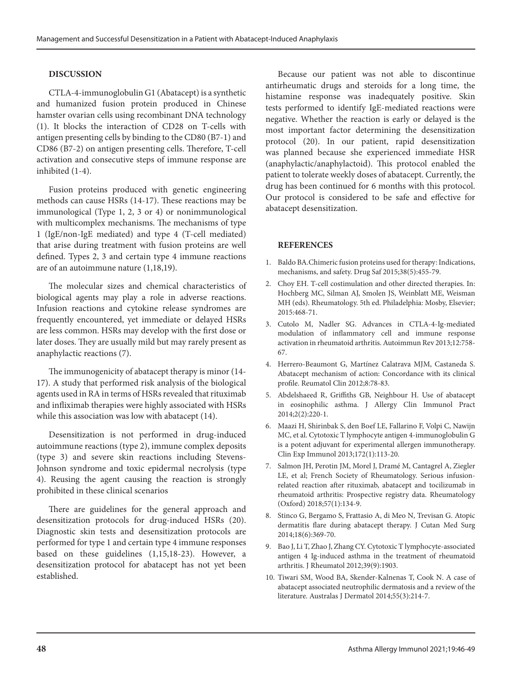## **DISCUSSION**

CTLA-4-immunoglobulin G1 (Abatacept) is a synthetic and humanized fusion protein produced in Chinese hamster ovarian cells using recombinant DNA technology (1). It blocks the interaction of CD28 on T-cells with antigen presenting cells by binding to the CD80 (B7-1) and CD86 (B7-2) on antigen presenting cells. Therefore, T-cell activation and consecutive steps of immune response are inhibited (1-4).

Fusion proteins produced with genetic engineering methods can cause HSRs (14-17). These reactions may be immunological (Type 1, 2, 3 or 4) or nonimmunological with multicomplex mechanisms. The mechanisms of type 1 (IgE/non-IgE mediated) and type 4 (T-cell mediated) that arise during treatment with fusion proteins are well defined. Types 2, 3 and certain type 4 immune reactions are of an autoimmune nature (1,18,19).

The molecular sizes and chemical characteristics of biological agents may play a role in adverse reactions. Infusion reactions and cytokine release syndromes are frequently encountered, yet immediate or delayed HSRs are less common. HSRs may develop with the first dose or later doses. They are usually mild but may rarely present as anaphylactic reactions (7).

The immunogenicity of abatacept therapy is minor (14- 17). A study that performed risk analysis of the biological agents used in RA in terms of HSRs revealed that rituximab and infliximab therapies were highly associated with HSRs while this association was low with abatacept (14).

Desensitization is not performed in drug-induced autoimmune reactions (type 2), immune complex deposits (type 3) and severe skin reactions including Stevens-Johnson syndrome and toxic epidermal necrolysis (type 4). Reusing the agent causing the reaction is strongly prohibited in these clinical scenarios

There are guidelines for the general approach and desensitization protocols for drug-induced HSRs (20). Diagnostic skin tests and desensitization protocols are performed for type 1 and certain type 4 immune responses based on these guidelines (1,15,18-23). However, a desensitization protocol for abatacept has not yet been established.

Because our patient was not able to discontinue antirheumatic drugs and steroids for a long time, the histamine response was inadequately positive. Skin tests performed to identify IgE-mediated reactions were negative. Whether the reaction is early or delayed is the most important factor determining the desensitization protocol (20). In our patient, rapid desensitization was planned because she experienced immediate HSR (anaphylactic/anaphylactoid). This protocol enabled the patient to tolerate weekly doses of abatacept. Currently, the drug has been continued for 6 months with this protocol. Our protocol is considered to be safe and effective for abatacept desensitization.

#### **REFERENCES**

- 1. Baldo BA.[Chimeric fusion proteins used for therapy: Indications,](https://www.ncbi.nlm.nih.gov/pubmed/25832756)  [mechanisms, and safety.](https://www.ncbi.nlm.nih.gov/pubmed/25832756) Drug Saf 2015;38(5):455-79.
- 2. Choy EH. T-cell costimulation and other directed therapies. In: Hochberg MC, Silman AJ, Smolen JS, Weinblatt ME, Weisman MH (eds). Rheumatology. 5th ed. Philadelphia: Mosby, Elsevier; 2015:468-71.
- 3. Cutolo M, Nadler SG. Advances in CTLA-4-Ig-mediated modulation of inflammatory cell and immune response activation in rheumatoid arthritis. Autoimmun Rev 2013;12:758- 67.
- 4. Herrero-Beaumont G, Martínez Calatrava MJM, Castaneda S. Abatacept mechanism of action: Concordance with its clinical profile. Reumatol Clin 2012;8:78-83.
- 5. Abdelshaeed R, Griffiths GB, Neighbour H. [Use of abatacept](https://www.ncbi.nlm.nih.gov/pubmed/24607053)  [in eosinophilic asthma.](https://www.ncbi.nlm.nih.gov/pubmed/24607053) J Allergy Clin Immunol Pract 2014;2(2):220-1.
- 6. Maazi H, Shirinbak S, den Boef LE, Fallarino F, Volpi C, Nawijn MC, et al. [Cytotoxic T lymphocyte antigen 4-immunoglobulin G](https://www.ncbi.nlm.nih.gov/pubmed/23480191)  [is a potent adjuvant for experimental allergen immunotherapy.](https://www.ncbi.nlm.nih.gov/pubmed/23480191) Clin Exp Immunol 2013;172(1):113-20.
- 7. Salmon JH, Perotin JM, Morel J, Dramé M, Cantagrel A, Ziegler LE, et al; French Society of Rheumatology. [Serious infusion](https://www.ncbi.nlm.nih.gov/pubmed/29069471)[related reaction after rituximab, abatacept and tocilizumab in](https://www.ncbi.nlm.nih.gov/pubmed/29069471)  [rheumatoid arthritis: Prospective registry data.](https://www.ncbi.nlm.nih.gov/pubmed/29069471) Rheumatology (Oxford) 2018;57(1):134-9.
- 8. Stinco G, Bergamo S, Frattasio A, di Meo N, Trevisan G. [Atopic](https://www.ncbi.nlm.nih.gov/pubmed/25348756)  [dermatitis flare during abatacept therapy.](https://www.ncbi.nlm.nih.gov/pubmed/25348756) J Cutan Med Surg 2014;18(6):369-70.
- 9. Bao J, Li T, Zhao J, Zhang CY. [Cytotoxic T lymphocyte-associated](https://www.ncbi.nlm.nih.gov/pubmed/22942310)  [antigen 4 Ig-induced asthma in the treatment of rheumatoid](https://www.ncbi.nlm.nih.gov/pubmed/22942310)  [arthritis.](https://www.ncbi.nlm.nih.gov/pubmed/22942310) J Rheumatol 2012;39(9):1903.
- 10. Tiwari SM, Wood BA, Skender-Kalnenas T, Cook N. [A case of](https://www.ncbi.nlm.nih.gov/pubmed/25117161)  [abatacept associated neutrophilic dermatosis and a review of the](https://www.ncbi.nlm.nih.gov/pubmed/25117161)  [literature.](https://www.ncbi.nlm.nih.gov/pubmed/25117161) Australas J Dermatol 2014;55(3):214-7.